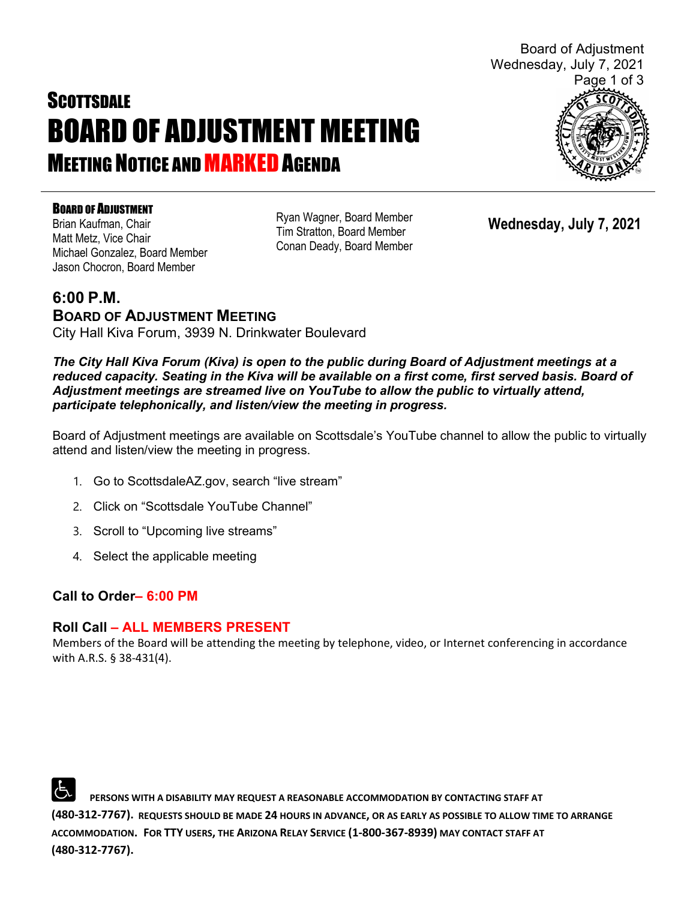# **SCOTTSDALE** BOARD OF ADJUSTMENT MEETING **MEETING NOTICE AND MARKED AGENDA**



BOARD OF ADJUSTMENT Brian Kaufman, Chair Matt Metz, Vice Chair Michael Gonzalez, Board Member Jason Chocron, Board Member

Ryan Wagner, Board Member Tim Stratton, Board Member Conan Deady, Board Member

**Wednesday, July 7, 2021**

## **6:00 P.M. BOARD OF ADJUSTMENT MEETING**  City Hall Kiva Forum, 3939 N. Drinkwater Boulevard

*The City Hall Kiva Forum (Kiva) is open to the public during Board of Adjustment meetings at a reduced capacity. Seating in the Kiva will be available on a first come, first served basis. Board of Adjustment meetings are streamed live on YouTube to allow the public to virtually attend, participate telephonically, and listen/view the meeting in progress.*

Board of Adjustment meetings are available on Scottsdale's YouTube channel to allow the public to virtually attend and listen/view the meeting in progress.

- 1. Go to ScottsdaleAZ.gov, search "live stream"
- 2. Click on "Scottsdale YouTube Channel"
- 3. Scroll to "Upcoming live streams"
- 4. Select the applicable meeting

# **Call to Order– 6:00 PM**

## **Roll Call – ALL MEMBERS PRESENT**

Members of the Board will be attending the meeting by telephone, video, or Internet conferencing in accordance with A.R.S. § 38-431(4).

 **PERSONS WITH A DISABILITY MAY REQUEST A REASONABLE ACCOMMODATION BY CONTACTING STAFF AT (480-312-7767). REQUESTS SHOULD BE MADE 24 HOURS IN ADVANCE, OR AS EARLY AS POSSIBLE TO ALLOW TIME TO ARRANGE ACCOMMODATION. FOR TTY USERS, THE ARIZONA RELAY SERVICE (1-800-367-8939) MAY CONTACT STAFF AT (480-312-7767).**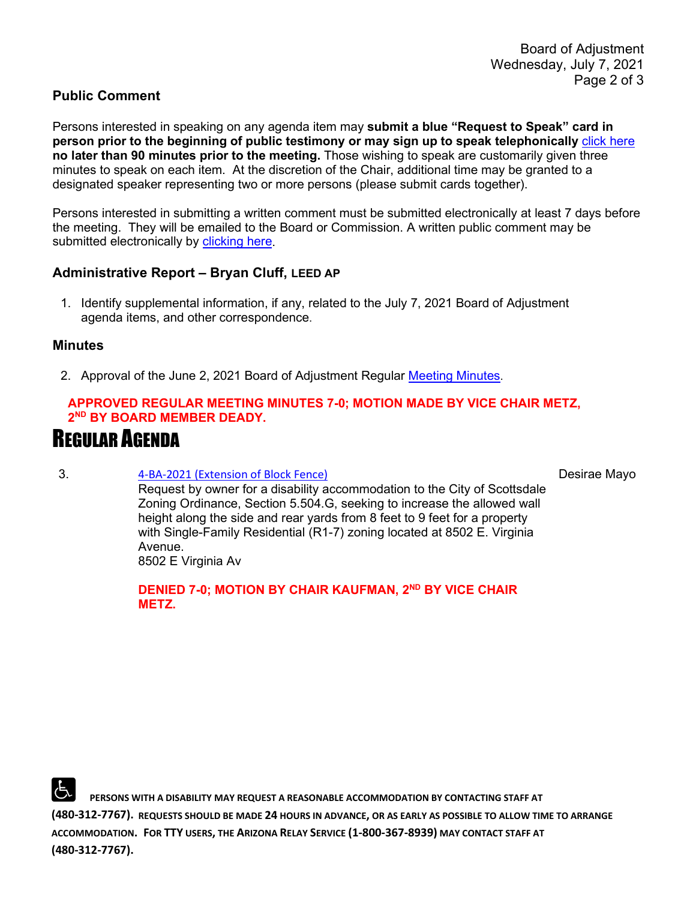#### **Public Comment**

Persons interested in speaking on any agenda item may **submit a blue "Request to Speak" card in person prior to the beginning of public testimony or may sign up to speak telephonically** [click here](https://www.scottsdaleaz.gov/boards/board-of-adjustment/spoken-comment) **no later than 90 minutes prior to the meeting.** Those wishing to speak are customarily given three minutes to speak on each item. At the discretion of the Chair, additional time may be granted to a designated speaker representing two or more persons (please submit cards together).

Persons interested in submitting a written comment must be submitted electronically at least 7 days before the meeting. They will be emailed to the Board or Commission. A written public comment may be submitted electronically by [clicking here.](https://www.scottsdaleaz.gov/boards/board-of-adjustment/public-comment)

#### **Administrative Report – Bryan Cluff, LEED AP**

1. Identify supplemental information, if any, related to the July 7, 2021 Board of Adjustment agenda items, and other correspondence.

#### **Minutes**

2. Approval of the June 2, 2021 Board of Adjustment Regular [Meeting Minutes.](https://eservices.scottsdaleaz.gov/planning/projectsummary/unrelated_documents/FINAL_BOA_MINUTES_06022021.pdf)

#### **APPROVED REGULAR MEETING MINUTES 7-0; MOTION MADE BY VICE CHAIR METZ, 2ND BY BOARD MEMBER DEADY.**

# REGULAR AGENDA

#### 3. [4-BA-2021 \(Extension of Block Fence\)](https://eservices.scottsdaleaz.gov/planning/projectsummary/ba_reports/BA_4_BA_2021.pdf)

Desirae Mayo

Request by owner for a disability accommodation to the City of Scottsdale Zoning Ordinance, Section 5.504.G, seeking to increase the allowed wall height along the side and rear yards from 8 feet to 9 feet for a property with Single-Family Residential (R1-7) zoning located at 8502 E. Virginia Avenue.

8502 E Virginia Av

**DENIED 7-0; MOTION BY CHAIR KAUFMAN, 2ND BY VICE CHAIR METZ.**

 **PERSONS WITH A DISABILITY MAY REQUEST A REASONABLE ACCOMMODATION BY CONTACTING STAFF AT (480-312-7767). REQUESTS SHOULD BE MADE 24 HOURS IN ADVANCE, OR AS EARLY AS POSSIBLE TO ALLOW TIME TO ARRANGE ACCOMMODATION. FOR TTY USERS, THE ARIZONA RELAY SERVICE (1-800-367-8939) MAY CONTACT STAFF AT (480-312-7767).**